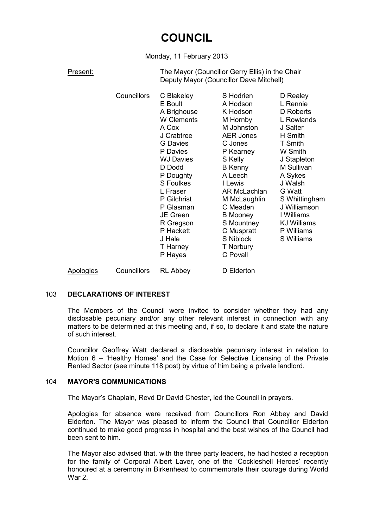# **COUNCIL**

Monday, 11 February 2013

Present: The Mayor (Councillor Gerry Ellis) in the Chair Deputy Mayor (Councillor Dave Mitchell)

|                  | Councillors | C Blakeley<br>E Boult<br>A Brighouse<br>W Clements<br>A Cox<br>J Crabtree<br><b>G</b> Davies<br>P Davies<br><b>WJ Davies</b><br>D Dodd<br>P Doughty<br>S Foulkes<br>L Fraser<br>P Gilchrist<br>P Glasman<br>JE Green<br>R Gregson<br>P Hackett<br>J Hale | S Hodrien<br>A Hodson<br>K Hodson<br>M Hornby<br>M Johnston<br><b>AER Jones</b><br>C Jones<br>P Kearney<br>S Kelly<br><b>B</b> Kenny<br>A Leech<br>I Lewis<br>AR McLachlan<br>M McLaughlin<br>C Meaden<br><b>B</b> Mooney<br>S Mountney<br>C Muspratt<br>S Niblock | D Realey<br>L Rennie<br>D Roberts<br>L Rowlands<br>J Salter<br>H Smith<br>T Smith<br>W Smith<br>J Stapleton<br>M Sullivan<br>A Sykes<br>J Walsh<br>G Watt<br>S Whittingham<br>J Williamson<br>I Williams<br><b>KJ Williams</b><br>P Williams<br>S Williams |
|------------------|-------------|----------------------------------------------------------------------------------------------------------------------------------------------------------------------------------------------------------------------------------------------------------|--------------------------------------------------------------------------------------------------------------------------------------------------------------------------------------------------------------------------------------------------------------------|------------------------------------------------------------------------------------------------------------------------------------------------------------------------------------------------------------------------------------------------------------|
|                  |             | T Harney<br>P Hayes                                                                                                                                                                                                                                      | T Norbury<br>C Povall                                                                                                                                                                                                                                              |                                                                                                                                                                                                                                                            |
| <b>Apologies</b> | Councillors | <b>RL Abbey</b>                                                                                                                                                                                                                                          | D Elderton                                                                                                                                                                                                                                                         |                                                                                                                                                                                                                                                            |

# 103 **DECLARATIONS OF INTEREST**

The Members of the Council were invited to consider whether they had any disclosable pecuniary and/or any other relevant interest in connection with any matters to be determined at this meeting and, if so, to declare it and state the nature of such interest.

Councillor Geoffrey Watt declared a disclosable pecuniary interest in relation to Motion 6 – 'Healthy Homes' and the Case for Selective Licensing of the Private Rented Sector (see minute 118 post) by virtue of him being a private landlord.

# 104 **MAYOR'S COMMUNICATIONS**

The Mayor's Chaplain, Revd Dr David Chester, led the Council in prayers.

Apologies for absence were received from Councillors Ron Abbey and David Elderton. The Mayor was pleased to inform the Council that Councillor Elderton continued to make good progress in hospital and the best wishes of the Council had been sent to him.

The Mayor also advised that, with the three party leaders, he had hosted a reception for the family of Corporal Albert Laver, one of the 'Cockleshell Heroes' recently honoured at a ceremony in Birkenhead to commemorate their courage during World War 2.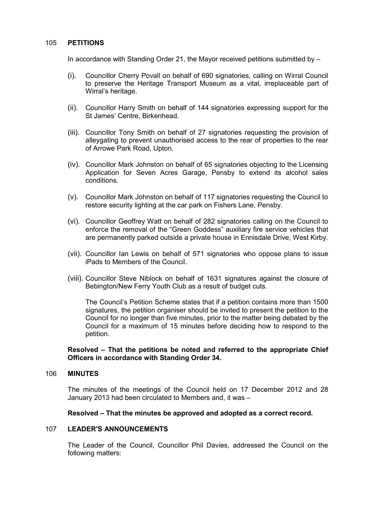## 105 **PETITIONS**

In accordance with Standing Order 21, the Mayor received petitions submitted by –

- (i). Councillor Cherry Povall on behalf of 690 signatories, calling on Wirral Council to preserve the Heritage Transport Museum as a vital, irreplaceable part of Wirral's heritage.
- (ii). Councillor Harry Smith on behalf of 144 signatories expressing support for the St James' Centre, Birkenhead.
- (iii). Councillor Tony Smith on behalf of 27 signatories requesting the provision of alleygating to prevent unauthorised access to the rear of properties to the rear of Arrowe Park Road, Upton.
- (iv). Councillor Mark Johnston on behalf of 65 signatories objecting to the Licensing Application for Seven Acres Garage, Pensby to extend its alcohol sales conditions.
- (v). Councillor Mark Johnston on behalf of 117 signatories requesting the Council to restore security lighting at the car park on Fishers Lane, Pensby.
- (vi). Councillor Geoffrey Watt on behalf of 282 signatories calling on the Council to enforce the removal of the "Green Goddess" auxiliary fire service vehicles that are permanently parked outside a private house in Ennisdale Drive, West Kirby.
- (vii). Councillor Ian Lewis on behalf of 571 signatories who oppose plans to issue iPads to Members of the Council.
- (viii). Councillor Steve Niblock on behalf of 1631 signatures against the closure of Bebington/New Ferry Youth Club as a result of budget cuts.

The Council's Petition Scheme states that if a petition contains more than 1500 signatures, the petition organiser should be invited to present the petition to the Council for no longer than five minutes, prior to the matter being debated by the Council for a maximum of 15 minutes before deciding how to respond to the petition.

**Resolved – That the petitions be noted and referred to the appropriate Chief Officers in accordance with Standing Order 34.** 

#### 106 **MINUTES**

The minutes of the meetings of the Council held on 17 December 2012 and 28 January 2013 had been circulated to Members and, it was –

#### **Resolved – That the minutes be approved and adopted as a correct record.**

#### 107 **LEADER'S ANNOUNCEMENTS**

The Leader of the Council, Councillor Phil Davies, addressed the Council on the following matters: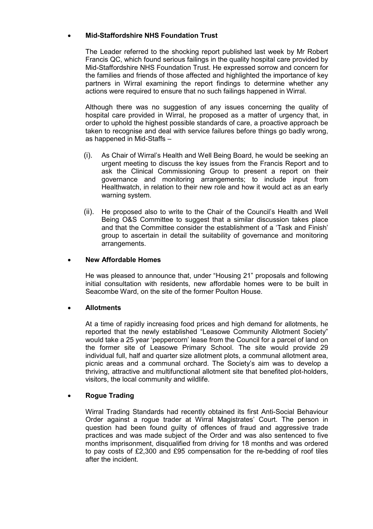# • **Mid-Staffordshire NHS Foundation Trust**

The Leader referred to the shocking report published last week by Mr Robert Francis QC, which found serious failings in the quality hospital care provided by Mid-Staffordshire NHS Foundation Trust. He expressed sorrow and concern for the families and friends of those affected and highlighted the importance of key partners in Wirral examining the report findings to determine whether any actions were required to ensure that no such failings happened in Wirral.

Although there was no suggestion of any issues concerning the quality of hospital care provided in Wirral, he proposed as a matter of urgency that, in order to uphold the highest possible standards of care, a proactive approach be taken to recognise and deal with service failures before things go badly wrong, as happened in Mid-Staffs –

- (i). As Chair of Wirral's Health and Well Being Board, he would be seeking an urgent meeting to discuss the key issues from the Francis Report and to ask the Clinical Commissioning Group to present a report on their governance and monitoring arrangements; to include input from Healthwatch, in relation to their new role and how it would act as an early warning system.
- (ii). He proposed also to write to the Chair of the Council's Health and Well Being O&S Committee to suggest that a similar discussion takes place and that the Committee consider the establishment of a 'Task and Finish' group to ascertain in detail the suitability of governance and monitoring arrangements.

# • **New Affordable Homes**

He was pleased to announce that, under "Housing 21" proposals and following initial consultation with residents, new affordable homes were to be built in Seacombe Ward, on the site of the former Poulton House.

# • **Allotments**

At a time of rapidly increasing food prices and high demand for allotments, he reported that the newly established "Leasowe Community Allotment Society" would take a 25 year 'peppercorn' lease from the Council for a parcel of land on the former site of Leasowe Primary School. The site would provide 29 individual full, half and quarter size allotment plots, a communal allotment area, picnic areas and a communal orchard. The Society's aim was to develop a thriving, attractive and multifunctional allotment site that benefited plot-holders, visitors, the local community and wildlife.

# • **Rogue Trading**

Wirral Trading Standards had recently obtained its first Anti-Social Behaviour Order against a rogue trader at Wirral Magistrates' Court. The person in question had been found guilty of offences of fraud and aggressive trade practices and was made subject of the Order and was also sentenced to five months imprisonment, disqualified from driving for 18 months and was ordered to pay costs of £2,300 and £95 compensation for the re-bedding of roof tiles after the incident.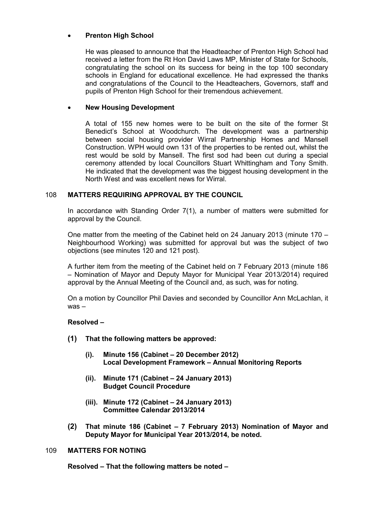# • **Prenton High School**

He was pleased to announce that the Headteacher of Prenton High School had received a letter from the Rt Hon David Laws MP, Minister of State for Schools, congratulating the school on its success for being in the top 100 secondary schools in England for educational excellence. He had expressed the thanks and congratulations of the Council to the Headteachers, Governors, staff and pupils of Prenton High School for their tremendous achievement.

# • **New Housing Development**

A total of 155 new homes were to be built on the site of the former St Benedict's School at Woodchurch. The development was a partnership between social housing provider Wirral Partnership Homes and Mansell Construction. WPH would own 131 of the properties to be rented out, whilst the rest would be sold by Mansell. The first sod had been cut during a special ceremony attended by local Councillors Stuart Whittingham and Tony Smith. He indicated that the development was the biggest housing development in the North West and was excellent news for Wirral.

# 108 **MATTERS REQUIRING APPROVAL BY THE COUNCIL**

In accordance with Standing Order 7(1), a number of matters were submitted for approval by the Council.

One matter from the meeting of the Cabinet held on 24 January 2013 (minute 170 – Neighbourhood Working) was submitted for approval but was the subject of two objections (see minutes 120 and 121 post).

A further item from the meeting of the Cabinet held on 7 February 2013 (minute 186 – Nomination of Mayor and Deputy Mayor for Municipal Year 2013/2014) required approval by the Annual Meeting of the Council and, as such, was for noting.

On a motion by Councillor Phil Davies and seconded by Councillor Ann McLachlan, it was –

# **Resolved –**

- **(1) That the following matters be approved:** 
	- **(i). Minute 156 (Cabinet 20 December 2012) Local Development Framework – Annual Monitoring Reports**
	- **(ii). Minute 171 (Cabinet 24 January 2013) Budget Council Procedure**
	- **(iii). Minute 172 (Cabinet 24 January 2013) Committee Calendar 2013/2014**
- **(2) That minute 186 (Cabinet 7 February 2013) Nomination of Mayor and Deputy Mayor for Municipal Year 2013/2014, be noted.**

# 109 **MATTERS FOR NOTING**

**Resolved – That the following matters be noted –**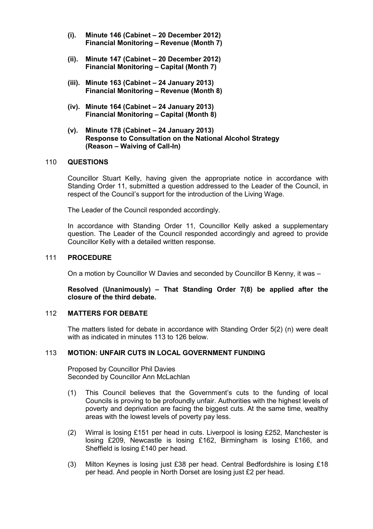- **(i). Minute 146 (Cabinet 20 December 2012) Financial Monitoring – Revenue (Month 7)**
- **(ii). Minute 147 (Cabinet 20 December 2012) Financial Monitoring – Capital (Month 7)**
- **(iii). Minute 163 (Cabinet 24 January 2013) Financial Monitoring – Revenue (Month 8)**
- **(iv). Minute 164 (Cabinet 24 January 2013) Financial Monitoring – Capital (Month 8)**
- **(v). Minute 178 (Cabinet 24 January 2013) Response to Consultation on the National Alcohol Strategy (Reason – Waiving of Call-In)**

#### 110 **QUESTIONS**

Councillor Stuart Kelly, having given the appropriate notice in accordance with Standing Order 11, submitted a question addressed to the Leader of the Council, in respect of the Council's support for the introduction of the Living Wage.

The Leader of the Council responded accordingly.

In accordance with Standing Order 11, Councillor Kelly asked a supplementary question. The Leader of the Council responded accordingly and agreed to provide Councillor Kelly with a detailed written response.

## 111 **PROCEDURE**

On a motion by Councillor W Davies and seconded by Councillor B Kenny, it was –

**Resolved (Unanimously) – That Standing Order 7(8) be applied after the closure of the third debate.** 

## 112 **MATTERS FOR DEBATE**

The matters listed for debate in accordance with Standing Order 5(2) (n) were dealt with as indicated in minutes 113 to 126 below

# 113 **MOTION: UNFAIR CUTS IN LOCAL GOVERNMENT FUNDING**

Proposed by Councillor Phil Davies Seconded by Councillor Ann McLachlan

- (1) This Council believes that the Government's cuts to the funding of local Councils is proving to be profoundly unfair. Authorities with the highest levels of poverty and deprivation are facing the biggest cuts. At the same time, wealthy areas with the lowest levels of poverty pay less.
- (2) Wirral is losing £151 per head in cuts. Liverpool is losing £252, Manchester is losing £209, Newcastle is losing £162, Birmingham is losing £166, and Sheffield is losing £140 per head.
- (3) Milton Keynes is losing just £38 per head. Central Bedfordshire is losing £18 per head. And people in North Dorset are losing just £2 per head.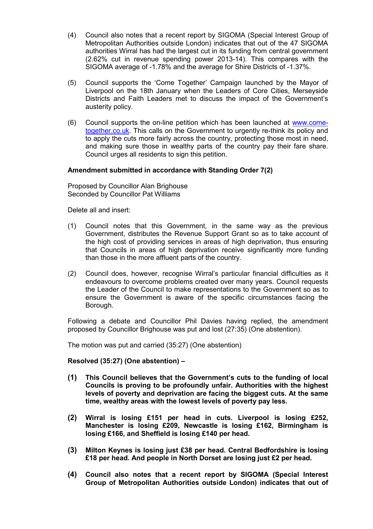- (4) Council also notes that a recent report by SIGOMA (Special Interest Group of Metropolitan Authorities outside London) indicates that out of the 47 SIGOMA authorities Wirral has had the largest cut in its funding from central government (2.62% cut in revenue spending power 2013-14). This compares with the SIGOMA average of -1.78% and the average for Shire Districts of -1.37%.
- (5) Council supports the 'Come Together' Campaign launched by the Mayor of Liverpool on the 18th January when the Leaders of Core Cities, Merseyside Districts and Faith Leaders met to discuss the impact of the Government's austerity policy.
- (6) Council supports the on-line petition which has been launched at www.cometogether.co.uk. This calls on the Government to urgently re-think its policy and to apply the cuts more fairly across the country, protecting those most in need, and making sure those in wealthy parts of the country pay their fare share. Council urges all residents to sign this petition.

## **Amendment submitted in accordance with Standing Order 7(2)**

Proposed by Councillor Alan Brighouse Seconded by Councillor Pat Williams

Delete all and insert:

- (1) Council notes that this Government, in the same way as the previous Government, distributes the Revenue Support Grant so as to take account of the high cost of providing services in areas of high deprivation, thus ensuring that Councils in areas of high deprivation receive significantly more funding than those in the more affluent parts of the country.
- (2) Council does, however, recognise Wirral's particular financial difficulties as it endeavours to overcome problems created over many years. Council requests the Leader of the Council to make representations to the Government so as to ensure the Government is aware of the specific circumstances facing the Borough.

Following a debate and Councillor Phil Davies having replied, the amendment proposed by Councillor Brighouse was put and lost (27:35) (One abstention).

The motion was put and carried (35:27) (One abstention)

**Resolved (35:27) (One abstention) –** 

- **(1) This Council believes that the Government's cuts to the funding of local Councils is proving to be profoundly unfair. Authorities with the highest levels of poverty and deprivation are facing the biggest cuts. At the same time, wealthy areas with the lowest levels of poverty pay less.**
- **(2) Wirral is losing £151 per head in cuts. Liverpool is losing £252, Manchester is losing £209, Newcastle is losing £162, Birmingham is losing £166, and Sheffield is losing £140 per head.**
- **(3) Milton Keynes is losing just £38 per head. Central Bedfordshire is losing £18 per head. And people in North Dorset are losing just £2 per head.**
- **(4) Council also notes that a recent report by SIGOMA (Special Interest Group of Metropolitan Authorities outside London) indicates that out of**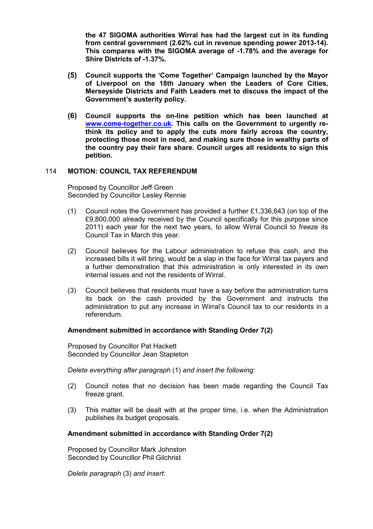**the 47 SIGOMA authorities Wirral has had the largest cut in its funding from central government (2.62% cut in revenue spending power 2013-14). This compares with the SIGOMA average of -1.78% and the average for Shire Districts of -1.37%.** 

- **(5) Council supports the 'Come Together' Campaign launched by the Mayor of Liverpool on the 18th January when the Leaders of Core Cities, Merseyside Districts and Faith Leaders met to discuss the impact of the Government's austerity policy.**
- **(6) Council supports the on-line petition which has been launched at www.come-together.co.uk. This calls on the Government to urgently rethink its policy and to apply the cuts more fairly across the country, protecting those most in need, and making sure those in wealthy parts of the country pay their fare share. Council urges all residents to sign this petition.**

#### 114 **MOTION: COUNCIL TAX REFERENDUM**

Proposed by Councillor Jeff Green Seconded by Councillor Lesley Rennie

- (1) Council notes the Government has provided a further £1,336,643 (on top of the £9,800,000 already received by the Council specifically for this purpose since 2011) each year for the next two years, to allow Wirral Council to freeze its Council Tax in March this year.
- (2) Council believes for the Labour administration to refuse this cash, and the increased bills it will bring, would be a slap in the face for Wirral tax payers and a further demonstration that this administration is only interested in its own internal issues and not the residents of Wirral.
- (3) Council believes that residents must have a say before the administration turns its back on the cash provided by the Government and instructs the administration to put any increase in Wirral's Council tax to our residents in a referendum.

#### **Amendment submitted in accordance with Standing Order 7(2)**

Proposed by Councillor Pat Hackett Seconded by Councillor Jean Stapleton

*Delete everything after paragraph* (1) *and insert the following:*

- (2) Council notes that no decision has been made regarding the Council Tax freeze grant.
- (3) This matter will be dealt with at the proper time, i.e. when the Administration publishes its budget proposals.

#### **Amendment submitted in accordance with Standing Order 7(2)**

Proposed by Councillor Mark Johnston Seconded by Councillor Phil Gilchrist

*Delete paragraph* (3) *and insert*: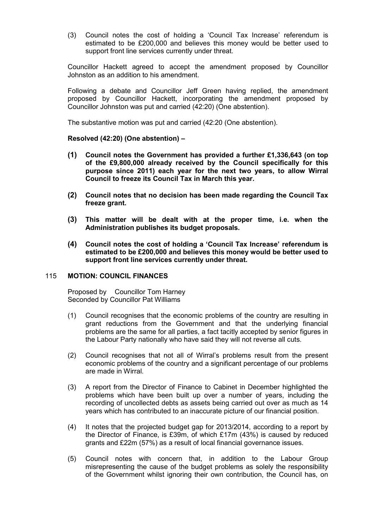(3) Council notes the cost of holding a 'Council Tax Increase' referendum is estimated to be £200,000 and believes this money would be better used to support front line services currently under threat.

Councillor Hackett agreed to accept the amendment proposed by Councillor Johnston as an addition to his amendment.

Following a debate and Councillor Jeff Green having replied, the amendment proposed by Councillor Hackett, incorporating the amendment proposed by Councillor Johnston was put and carried (42:20) (One abstention).

The substantive motion was put and carried (42:20 (One abstention).

#### **Resolved (42:20) (One abstention) –**

- **(1) Council notes the Government has provided a further £1,336,643 (on top of the £9,800,000 already received by the Council specifically for this purpose since 2011) each year for the next two years, to allow Wirral Council to freeze its Council Tax in March this year.**
- **(2) Council notes that no decision has been made regarding the Council Tax freeze grant.**
- **(3) This matter will be dealt with at the proper time, i.e. when the Administration publishes its budget proposals.**
- **(4) Council notes the cost of holding a 'Council Tax Increase' referendum is estimated to be £200,000 and believes this money would be better used to support front line services currently under threat.**

## 115 **MOTION: COUNCIL FINANCES**

Proposed by Councillor Tom Harney Seconded by Councillor Pat Williams

- (1) Council recognises that the economic problems of the country are resulting in grant reductions from the Government and that the underlying financial problems are the same for all parties, a fact tacitly accepted by senior figures in the Labour Party nationally who have said they will not reverse all cuts.
- (2) Council recognises that not all of Wirral's problems result from the present economic problems of the country and a significant percentage of our problems are made in Wirral.
- (3) A report from the Director of Finance to Cabinet in December highlighted the problems which have been built up over a number of years, including the recording of uncollected debts as assets being carried out over as much as 14 years which has contributed to an inaccurate picture of our financial position.
- (4) It notes that the projected budget gap for 2013/2014, according to a report by the Director of Finance, is £39m, of which £17m (43%) is caused by reduced grants and £22m (57%) as a result of local financial governance issues.
- (5) Council notes with concern that, in addition to the Labour Group misrepresenting the cause of the budget problems as solely the responsibility of the Government whilst ignoring their own contribution, the Council has, on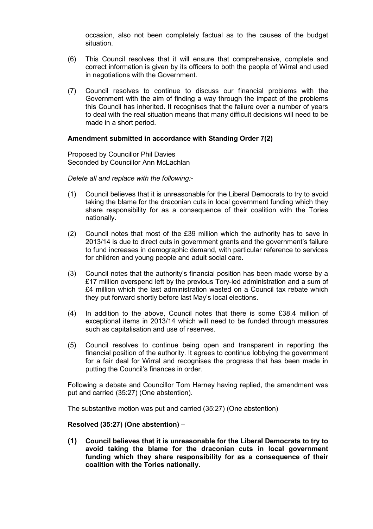occasion, also not been completely factual as to the causes of the budget situation.

- (6) This Council resolves that it will ensure that comprehensive, complete and correct information is given by its officers to both the people of Wirral and used in negotiations with the Government.
- (7) Council resolves to continue to discuss our financial problems with the Government with the aim of finding a way through the impact of the problems this Council has inherited. It recognises that the failure over a number of years to deal with the real situation means that many difficult decisions will need to be made in a short period.

## **Amendment submitted in accordance with Standing Order 7(2)**

Proposed by Councillor Phil Davies Seconded by Councillor Ann McLachlan

*Delete all and replace with the following:*-

- (1) Council believes that it is unreasonable for the Liberal Democrats to try to avoid taking the blame for the draconian cuts in local government funding which they share responsibility for as a consequence of their coalition with the Tories nationally.
- (2) Council notes that most of the £39 million which the authority has to save in 2013/14 is due to direct cuts in government grants and the government's failure to fund increases in demographic demand, with particular reference to services for children and young people and adult social care.
- (3) Council notes that the authority's financial position has been made worse by a £17 million overspend left by the previous Tory-led administration and a sum of £4 million which the last administration wasted on a Council tax rebate which they put forward shortly before last May's local elections.
- (4) In addition to the above, Council notes that there is some £38.4 million of exceptional items in 2013/14 which will need to be funded through measures such as capitalisation and use of reserves.
- (5) Council resolves to continue being open and transparent in reporting the financial position of the authority. It agrees to continue lobbying the government for a fair deal for Wirral and recognises the progress that has been made in putting the Council's finances in order.

Following a debate and Councillor Tom Harney having replied, the amendment was put and carried (35:27) (One abstention).

The substantive motion was put and carried (35:27) (One abstention)

#### **Resolved (35:27) (One abstention) –**

**(1) Council believes that it is unreasonable for the Liberal Democrats to try to avoid taking the blame for the draconian cuts in local government funding which they share responsibility for as a consequence of their coalition with the Tories nationally.**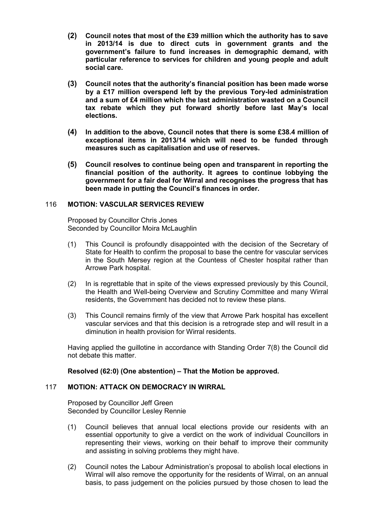- **(2) Council notes that most of the £39 million which the authority has to save in 2013/14 is due to direct cuts in government grants and the government's failure to fund increases in demographic demand, with particular reference to services for children and young people and adult social care.**
- **(3) Council notes that the authority's financial position has been made worse by a £17 million overspend left by the previous Tory-led administration and a sum of £4 million which the last administration wasted on a Council tax rebate which they put forward shortly before last May's local elections.**
- **(4) In addition to the above, Council notes that there is some £38.4 million of exceptional items in 2013/14 which will need to be funded through measures such as capitalisation and use of reserves.**
- **(5) Council resolves to continue being open and transparent in reporting the financial position of the authority. It agrees to continue lobbying the government for a fair deal for Wirral and recognises the progress that has been made in putting the Council's finances in order.**

## 116 **MOTION: VASCULAR SERVICES REVIEW**

Proposed by Councillor Chris Jones Seconded by Councillor Moira McLaughlin

- (1) This Council is profoundly disappointed with the decision of the Secretary of State for Health to confirm the proposal to base the centre for vascular services in the South Mersey region at the Countess of Chester hospital rather than Arrowe Park hospital.
- (2) In is regrettable that in spite of the views expressed previously by this Council, the Health and Well-being Overview and Scrutiny Committee and many Wirral residents, the Government has decided not to review these plans.
- (3) This Council remains firmly of the view that Arrowe Park hospital has excellent vascular services and that this decision is a retrograde step and will result in a diminution in health provision for Wirral residents.

Having applied the guillotine in accordance with Standing Order 7(8) the Council did not debate this matter.

# **Resolved (62:0) (One abstention) – That the Motion be approved.**

# 117 **MOTION: ATTACK ON DEMOCRACY IN WIRRAL**

Proposed by Councillor Jeff Green Seconded by Councillor Lesley Rennie

- (1) Council believes that annual local elections provide our residents with an essential opportunity to give a verdict on the work of individual Councillors in representing their views, working on their behalf to improve their community and assisting in solving problems they might have.
- (2) Council notes the Labour Administration's proposal to abolish local elections in Wirral will also remove the opportunity for the residents of Wirral, on an annual basis, to pass judgement on the policies pursued by those chosen to lead the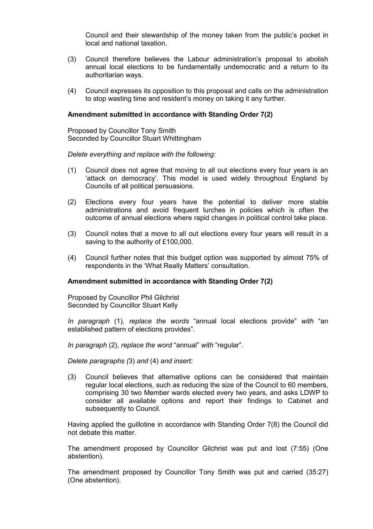Council and their stewardship of the money taken from the public's pocket in local and national taxation.

- (3) Council therefore believes the Labour administration's proposal to abolish annual local elections to be fundamentally undemocratic and a return to its authoritarian ways.
- (4) Council expresses its opposition to this proposal and calls on the administration to stop wasting time and resident's money on taking it any further.

#### **Amendment submitted in accordance with Standing Order 7(2)**

Proposed by Councillor Tony Smith Seconded by Councillor Stuart Whittingham

#### *Delete everything and replace with the following:*

- (1) Council does not agree that moving to all out elections every four years is an 'attack on democracy'. This model is used widely throughout England by Councils of all political persuasions.
- (2) Elections every four years have the potential to deliver more stable administrations and avoid frequent lurches in policies which is often the outcome of annual elections where rapid changes in political control take place.
- (3) Council notes that a move to all out elections every four years will result in a saving to the authority of £100,000.
- (4) Council further notes that this budget option was supported by almost 75% of respondents in the 'What Really Matters' consultation.

#### **Amendment submitted in accordance with Standing Order 7(2)**

Proposed by Councillor Phil Gilchrist Seconded by Councillor Stuart Kelly

*In paragraph* (1), *replace the words* "annual local elections provide" *with* "an established pattern of elections provides".

*In paragraph* (2), *replace the word* "annual" *with* "regular".

*Delete paragraphs (*3) *and* (4) *and insert:*

(3) Council believes that alternative options can be considered that maintain regular local elections, such as reducing the size of the Council to 60 members, comprising 30 two Member wards elected every two years, and asks LDWP to consider all available options and report their findings to Cabinet and subsequently to Council.

Having applied the guillotine in accordance with Standing Order 7(8) the Council did not debate this matter.

The amendment proposed by Councillor Gilchrist was put and lost (7:55) (One abstention).

The amendment proposed by Councillor Tony Smith was put and carried (35:27) (One abstention).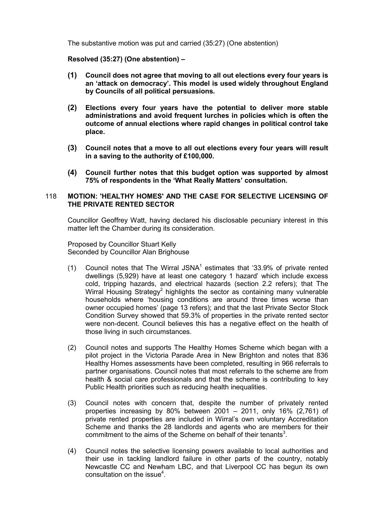The substantive motion was put and carried (35:27) (One abstention)

# **Resolved (35:27) (One abstention) –**

- **(1) Council does not agree that moving to all out elections every four years is an 'attack on democracy'. This model is used widely throughout England by Councils of all political persuasions.**
- **(2) Elections every four years have the potential to deliver more stable administrations and avoid frequent lurches in policies which is often the outcome of annual elections where rapid changes in political control take place.**
- **(3) Council notes that a move to all out elections every four years will result in a saving to the authority of £100,000.**
- **(4) Council further notes that this budget option was supported by almost 75% of respondents in the 'What Really Matters' consultation.**

## 118 **MOTION: 'HEALTHY HOMES' AND THE CASE FOR SELECTIVE LICENSING OF THE PRIVATE RENTED SECTOR**

Councillor Geoffrey Watt, having declared his disclosable pecuniary interest in this matter left the Chamber during its consideration.

Proposed by Councillor Stuart Kelly Seconded by Councillor Alan Brighouse

- (1) Council notes that The Wirral JSNA<sup>1</sup> estimates that '33.9% of private rented dwellings (5,929) have at least one category 1 hazard' which include excess cold, tripping hazards, and electrical hazards (section 2.2 refers); that The Wirral Housing Strategy<sup>2</sup> highlights the sector as containing many vulnerable households where 'housing conditions are around three times worse than owner occupied homes' (page 13 refers); and that the last Private Sector Stock Condition Survey showed that 59.3% of properties in the private rented sector were non-decent. Council believes this has a negative effect on the health of those living in such circumstances.
- (2) Council notes and supports The Healthy Homes Scheme which began with a pilot project in the Victoria Parade Area in New Brighton and notes that 836 Healthy Homes assessments have been completed, resulting in 966 referrals to partner organisations. Council notes that most referrals to the scheme are from health & social care professionals and that the scheme is contributing to key Public Health priorities such as reducing health inequalities.
- (3) Council notes with concern that, despite the number of privately rented properties increasing by 80% between 2001 – 2011, only 16% (2,761) of private rented properties are included in Wirral's own voluntary Accreditation Scheme and thanks the 28 landlords and agents who are members for their commitment to the aims of the Scheme on behalf of their tenants<sup>3</sup>.
- (4) Council notes the selective licensing powers available to local authorities and their use in tackling landlord failure in other parts of the country, notably Newcastle CC and Newham LBC, and that Liverpool CC has begun its own consultation on the issue<sup>4</sup>.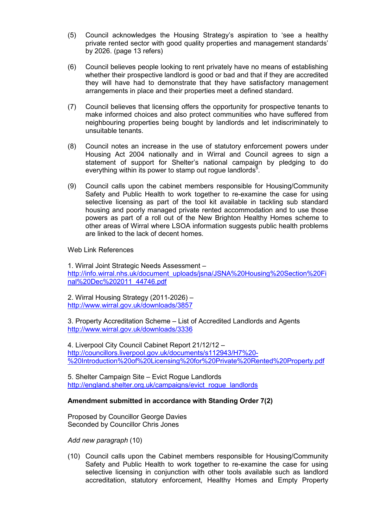- (5) Council acknowledges the Housing Strategy's aspiration to 'see a healthy private rented sector with good quality properties and management standards' by 2026. (page 13 refers)
- (6) Council believes people looking to rent privately have no means of establishing whether their prospective landlord is good or bad and that if they are accredited they will have had to demonstrate that they have satisfactory management arrangements in place and their properties meet a defined standard.
- (7) Council believes that licensing offers the opportunity for prospective tenants to make informed choices and also protect communities who have suffered from neighbouring properties being bought by landlords and let indiscriminately to unsuitable tenants.
- (8) Council notes an increase in the use of statutory enforcement powers under Housing Act 2004 nationally and in Wirral and Council agrees to sign a statement of support for Shelter's national campaign by pledging to do everything within its power to stamp out rogue landlords $5$ .
- (9) Council calls upon the cabinet members responsible for Housing/Community Safety and Public Health to work together to re-examine the case for using selective licensing as part of the tool kit available in tackling sub standard housing and poorly managed private rented accommodation and to use those powers as part of a roll out of the New Brighton Healthy Homes scheme to other areas of Wirral where LSOA information suggests public health problems are linked to the lack of decent homes.

## Web Link References

1. Wirral Joint Strategic Needs Assessment – http://info.wirral.nhs.uk/document\_uploads/jsna/JSNA%20Housing%20Section%20Fi nal%20Dec%202011\_44746.pdf

2. Wirral Housing Strategy (2011-2026) – http://www.wirral.gov.uk/downloads/3857

3. Property Accreditation Scheme – List of Accredited Landlords and Agents http://www.wirral.gov.uk/downloads/3336

4. Liverpool City Council Cabinet Report 21/12/12 – http://councillors.liverpool.gov.uk/documents/s112943/H7%20- %20Introduction%20of%20Licensing%20for%20Private%20Rented%20Property.pdf

5. Shelter Campaign Site – Evict Rogue Landlords http://england.shelter.org.uk/campaigns/evict\_roque\_landlords

#### **Amendment submitted in accordance with Standing Order 7(2)**

Proposed by Councillor George Davies Seconded by Councillor Chris Jones

*Add new paragraph* (10)

(10) Council calls upon the Cabinet members responsible for Housing/Community Safety and Public Health to work together to re-examine the case for using selective licensing in conjunction with other tools available such as landlord accreditation, statutory enforcement, Healthy Homes and Empty Property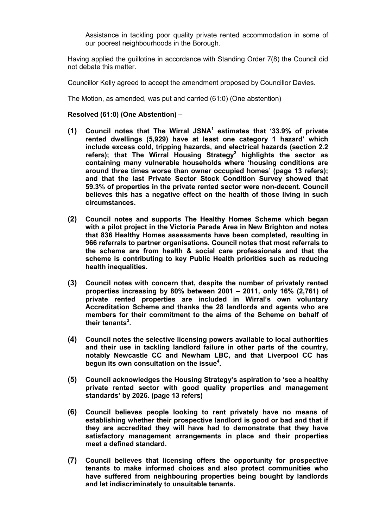Assistance in tackling poor quality private rented accommodation in some of our poorest neighbourhoods in the Borough.

Having applied the guillotine in accordance with Standing Order 7(8) the Council did not debate this matter.

Councillor Kelly agreed to accept the amendment proposed by Councillor Davies.

The Motion, as amended, was put and carried (61:0) (One abstention)

## **Resolved (61:0) (One Abstention) –**

- **(1) Council notes that The Wirral JSNA<sup>1</sup> estimates that '33.9% of private rented dwellings (5,929) have at least one category 1 hazard' which include excess cold, tripping hazards, and electrical hazards (section 2.2 refers); that The Wirral Housing Strategy<sup>2</sup> highlights the sector as containing many vulnerable households where 'housing conditions are around three times worse than owner occupied homes' (page 13 refers); and that the last Private Sector Stock Condition Survey showed that 59.3% of properties in the private rented sector were non-decent. Council believes this has a negative effect on the health of those living in such circumstances.**
- **(2) Council notes and supports The Healthy Homes Scheme which began with a pilot project in the Victoria Parade Area in New Brighton and notes that 836 Healthy Homes assessments have been completed, resulting in 966 referrals to partner organisations. Council notes that most referrals to the scheme are from health & social care professionals and that the scheme is contributing to key Public Health priorities such as reducing health inequalities.**
- **(3) Council notes with concern that, despite the number of privately rented properties increasing by 80% between 2001 – 2011, only 16% (2,761) of private rented properties are included in Wirral's own voluntary Accreditation Scheme and thanks the 28 landlords and agents who are members for their commitment to the aims of the Scheme on behalf of their tenants<sup>3</sup> .**
- **(4) Council notes the selective licensing powers available to local authorities and their use in tackling landlord failure in other parts of the country, notably Newcastle CC and Newham LBC, and that Liverpool CC has begun its own consultation on the issue<sup>4</sup> .**
- **(5) Council acknowledges the Housing Strategy's aspiration to 'see a healthy private rented sector with good quality properties and management standards' by 2026. (page 13 refers)**
- **(6) Council believes people looking to rent privately have no means of establishing whether their prospective landlord is good or bad and that if they are accredited they will have had to demonstrate that they have satisfactory management arrangements in place and their properties meet a defined standard.**
- **(7) Council believes that licensing offers the opportunity for prospective tenants to make informed choices and also protect communities who have suffered from neighbouring properties being bought by landlords and let indiscriminately to unsuitable tenants.**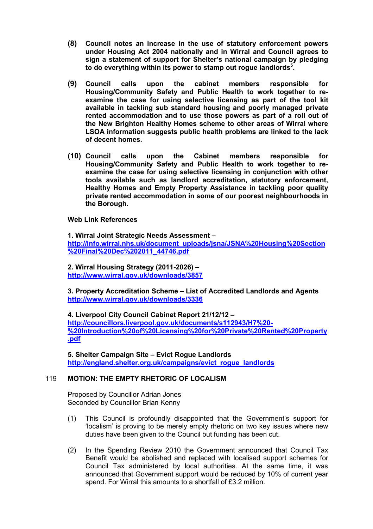- **(8) Council notes an increase in the use of statutory enforcement powers under Housing Act 2004 nationally and in Wirral and Council agrees to sign a statement of support for Shelter's national campaign by pledging to do everything within its power to stamp out rogue landlords<sup>5</sup> .**
- **(9) Council calls upon the cabinet members responsible for Housing/Community Safety and Public Health to work together to reexamine the case for using selective licensing as part of the tool kit available in tackling sub standard housing and poorly managed private rented accommodation and to use those powers as part of a roll out of the New Brighton Healthy Homes scheme to other areas of Wirral where LSOA information suggests public health problems are linked to the lack of decent homes.**
- **(10) Council calls upon the Cabinet members responsible for Housing/Community Safety and Public Health to work together to reexamine the case for using selective licensing in conjunction with other tools available such as landlord accreditation, statutory enforcement, Healthy Homes and Empty Property Assistance in tackling poor quality private rented accommodation in some of our poorest neighbourhoods in the Borough.**

**Web Link References** 

**1. Wirral Joint Strategic Needs Assessment – http://info.wirral.nhs.uk/document\_uploads/jsna/JSNA%20Housing%20Section %20Final%20Dec%202011\_44746.pdf** 

**2. Wirral Housing Strategy (2011-2026) – http://www.wirral.gov.uk/downloads/3857**

**3. Property Accreditation Scheme – List of Accredited Landlords and Agents http://www.wirral.gov.uk/downloads/3336** 

**4. Liverpool City Council Cabinet Report 21/12/12 – http://councillors.liverpool.gov.uk/documents/s112943/H7%20- %20Introduction%20of%20Licensing%20for%20Private%20Rented%20Property .pdf**

**5. Shelter Campaign Site – Evict Rogue Landlords http://england.shelter.org.uk/campaigns/evict\_rogue\_landlords**

# 119 **MOTION: THE EMPTY RHETORIC OF LOCALISM**

Proposed by Councillor Adrian Jones Seconded by Councillor Brian Kenny

- (1) This Council is profoundly disappointed that the Government's support for 'localism' is proving to be merely empty rhetoric on two key issues where new duties have been given to the Council but funding has been cut.
- (2) In the Spending Review 2010 the Government announced that Council Tax Benefit would be abolished and replaced with localised support schemes for Council Tax administered by local authorities. At the same time, it was announced that Government support would be reduced by 10% of current year spend. For Wirral this amounts to a shortfall of £3.2 million.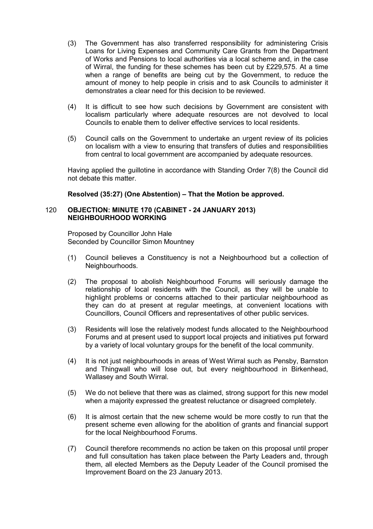- (3) The Government has also transferred responsibility for administering Crisis Loans for Living Expenses and Community Care Grants from the Department of Works and Pensions to local authorities via a local scheme and, in the case of Wirral, the funding for these schemes has been cut by £229,575. At a time when a range of benefits are being cut by the Government, to reduce the amount of money to help people in crisis and to ask Councils to administer it demonstrates a clear need for this decision to be reviewed.
- (4) It is difficult to see how such decisions by Government are consistent with localism particularly where adequate resources are not devolved to local Councils to enable them to deliver effective services to local residents.
- (5) Council calls on the Government to undertake an urgent review of its policies on localism with a view to ensuring that transfers of duties and responsibilities from central to local government are accompanied by adequate resources.

Having applied the guillotine in accordance with Standing Order 7(8) the Council did not debate this matter.

# **Resolved (35:27) (One Abstention) – That the Motion be approved.**

#### 120 **OBJECTION: MINUTE 170 (CABINET - 24 JANUARY 2013) NEIGHBOURHOOD WORKING**

Proposed by Councillor John Hale Seconded by Councillor Simon Mountney

- (1) Council believes a Constituency is not a Neighbourhood but a collection of Neighbourhoods.
- (2) The proposal to abolish Neighbourhood Forums will seriously damage the relationship of local residents with the Council, as they will be unable to highlight problems or concerns attached to their particular neighbourhood as they can do at present at regular meetings, at convenient locations with Councillors, Council Officers and representatives of other public services.
- (3) Residents will lose the relatively modest funds allocated to the Neighbourhood Forums and at present used to support local projects and initiatives put forward by a variety of local voluntary groups for the benefit of the local community.
- (4) It is not just neighbourhoods in areas of West Wirral such as Pensby, Barnston and Thingwall who will lose out, but every neighbourhood in Birkenhead, Wallasey and South Wirral.
- (5) We do not believe that there was as claimed, strong support for this new model when a majority expressed the greatest reluctance or disagreed completely.
- (6) It is almost certain that the new scheme would be more costly to run that the present scheme even allowing for the abolition of grants and financial support for the local Neighbourhood Forums.
- (7) Council therefore recommends no action be taken on this proposal until proper and full consultation has taken place between the Party Leaders and, through them, all elected Members as the Deputy Leader of the Council promised the Improvement Board on the 23 January 2013.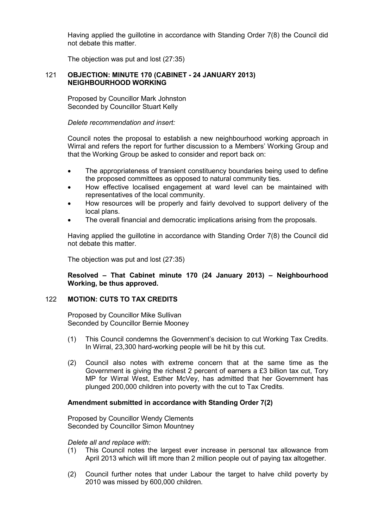Having applied the guillotine in accordance with Standing Order 7(8) the Council did not debate this matter.

The objection was put and lost (27:35)

# 121 **OBJECTION: MINUTE 170 (CABINET - 24 JANUARY 2013) NEIGHBOURHOOD WORKING**

Proposed by Councillor Mark Johnston Seconded by Councillor Stuart Kelly

*Delete recommendation and insert:* 

Council notes the proposal to establish a new neighbourhood working approach in Wirral and refers the report for further discussion to a Members' Working Group and that the Working Group be asked to consider and report back on:

- The appropriateness of transient constituency boundaries being used to define the proposed committees as opposed to natural community ties.
- How effective localised engagement at ward level can be maintained with representatives of the local community.
- How resources will be properly and fairly devolved to support delivery of the local plans.
- The overall financial and democratic implications arising from the proposals.

Having applied the guillotine in accordance with Standing Order 7(8) the Council did not debate this matter.

The objection was put and lost (27:35)

**Resolved – That Cabinet minute 170 (24 January 2013) – Neighbourhood Working, be thus approved.** 

# 122 **MOTION: CUTS TO TAX CREDITS**

Proposed by Councillor Mike Sullivan Seconded by Councillor Bernie Mooney

- (1) This Council condemns the Government's decision to cut Working Tax Credits. In Wirral, 23,300 hard-working people will be hit by this cut.
- (2) Council also notes with extreme concern that at the same time as the Government is giving the richest 2 percent of earners a £3 billion tax cut, Tory MP for Wirral West, Esther McVey, has admitted that her Government has plunged 200,000 children into poverty with the cut to Tax Credits.

# **Amendment submitted in accordance with Standing Order 7(2)**

Proposed by Councillor Wendy Clements Seconded by Councillor Simon Mountney

#### *Delete all and replace with:*

- (1) This Council notes the largest ever increase in personal tax allowance from April 2013 which will lift more than 2 million people out of paying tax altogether.
- (2) Council further notes that under Labour the target to halve child poverty by 2010 was missed by 600,000 children.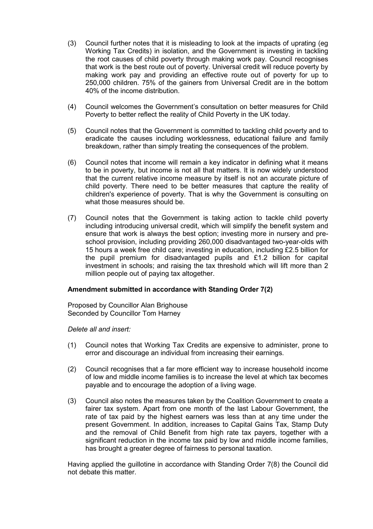- (3) Council further notes that it is misleading to look at the impacts of uprating (eg Working Tax Credits) in isolation, and the Government is investing in tackling the root causes of child poverty through making work pay. Council recognises that work is the best route out of poverty. Universal credit will reduce poverty by making work pay and providing an effective route out of poverty for up to 250,000 children. 75% of the gainers from Universal Credit are in the bottom 40% of the income distribution.
- (4) Council welcomes the Government's consultation on better measures for Child Poverty to better reflect the reality of Child Poverty in the UK today.
- (5) Council notes that the Government is committed to tackling child poverty and to eradicate the causes including worklessness, educational failure and family breakdown, rather than simply treating the consequences of the problem.
- (6) Council notes that income will remain a key indicator in defining what it means to be in poverty, but income is not all that matters. It is now widely understood that the current relative income measure by itself is not an accurate picture of child poverty. There need to be better measures that capture the reality of children's experience of poverty. That is why the Government is consulting on what those measures should be.
- (7) Council notes that the Government is taking action to tackle child poverty including introducing universal credit, which will simplify the benefit system and ensure that work is always the best option; investing more in nursery and preschool provision, including providing 260,000 disadvantaged two-year-olds with 15 hours a week free child care; investing in education, including £2.5 billion for the pupil premium for disadvantaged pupils and £1.2 billion for capital investment in schools; and raising the tax threshold which will lift more than 2 million people out of paying tax altogether.

# **Amendment submitted in accordance with Standing Order 7(2)**

Proposed by Councillor Alan Brighouse Seconded by Councillor Tom Harney

*Delete all and insert:* 

- (1) Council notes that Working Tax Credits are expensive to administer, prone to error and discourage an individual from increasing their earnings.
- (2) Council recognises that a far more efficient way to increase household income of low and middle income families is to increase the level at which tax becomes payable and to encourage the adoption of a living wage.
- (3) Council also notes the measures taken by the Coalition Government to create a fairer tax system. Apart from one month of the last Labour Government, the rate of tax paid by the highest earners was less than at any time under the present Government. In addition, increases to Capital Gains Tax, Stamp Duty and the removal of Child Benefit from high rate tax payers, together with a significant reduction in the income tax paid by low and middle income families, has brought a greater degree of fairness to personal taxation.

Having applied the guillotine in accordance with Standing Order 7(8) the Council did not debate this matter.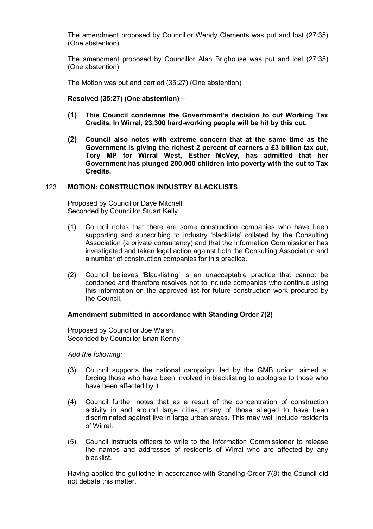The amendment proposed by Councillor Wendy Clements was put and lost (27:35) (One abstention)

The amendment proposed by Councillor Alan Brighouse was put and lost (27:35) (One abstention)

The Motion was put and carried (35:27) (One abstention)

**Resolved (35:27) (One abstention) –** 

- **(1) This Council condemns the Government's decision to cut Working Tax Credits. In Wirral, 23,300 hard-working people will be hit by this cut.**
- **(2) Council also notes with extreme concern that at the same time as the Government is giving the richest 2 percent of earners a £3 billion tax cut, Tory MP for Wirral West, Esther McVey, has admitted that her Government has plunged 200,000 children into poverty with the cut to Tax Credits.**

#### 123 **MOTION: CONSTRUCTION INDUSTRY BLACKLISTS**

Proposed by Councillor Dave Mitchell Seconded by Councillor Stuart Kelly

- (1) Council notes that there are some construction companies who have been supporting and subscribing to industry 'blacklists' collated by the Consulting Association (a private consultancy) and that the Information Commissioner has investigated and taken legal action against both the Consulting Association and a number of construction companies for this practice.
- (2) Council believes 'Blacklisting' is an unacceptable practice that cannot be condoned and therefore resolves not to include companies who continue using this information on the approved list for future construction work procured by the Council.

#### **Amendment submitted in accordance with Standing Order 7(2)**

Proposed by Councillor Joe Walsh Seconded by Councillor Brian Kenny

*Add the following:*

- (3) Council supports the national campaign, led by the GMB union, aimed at forcing those who have been involved in blacklisting to apologise to those who have been affected by it.
- (4) Council further notes that as a result of the concentration of construction activity in and around large cities, many of those alleged to have been discriminated against live in large urban areas. This may well include residents of Wirral.
- (5) Council instructs officers to write to the Information Commissioner to release the names and addresses of residents of Wirral who are affected by any blacklist.

Having applied the guillotine in accordance with Standing Order 7(8) the Council did not debate this matter.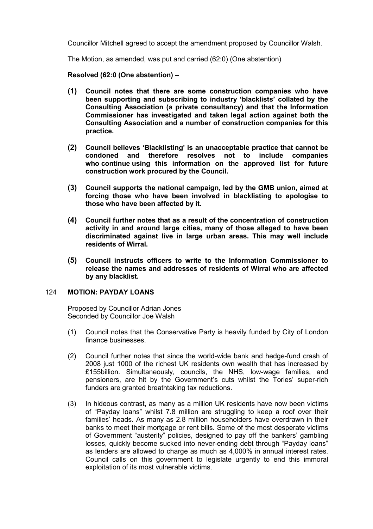Councillor Mitchell agreed to accept the amendment proposed by Councillor Walsh.

The Motion, as amended, was put and carried (62:0) (One abstention)

**Resolved (62:0 (One abstention) –** 

- **(1) Council notes that there are some construction companies who have been supporting and subscribing to industry 'blacklists' collated by the Consulting Association (a private consultancy) and that the Information Commissioner has investigated and taken legal action against both the Consulting Association and a number of construction companies for this practice.**
- **(2) Council believes 'Blacklisting' is an unacceptable practice that cannot be**  resolves not to include companies **who continue using this information on the approved list for future construction work procured by the Council.**
- **(3) Council supports the national campaign, led by the GMB union, aimed at forcing those who have been involved in blacklisting to apologise to those who have been affected by it.**
- **(4) Council further notes that as a result of the concentration of construction activity in and around large cities, many of those alleged to have been discriminated against live in large urban areas. This may well include residents of Wirral.**
- **(5) Council instructs officers to write to the Information Commissioner to release the names and addresses of residents of Wirral who are affected by any blacklist.**

## 124 **MOTION: PAYDAY LOANS**

Proposed by Councillor Adrian Jones Seconded by Councillor Joe Walsh

- (1) Council notes that the Conservative Party is heavily funded by City of London finance businesses.
- (2) Council further notes that since the world-wide bank and hedge-fund crash of 2008 just 1000 of the richest UK residents own wealth that has increased by £155billion. Simultaneously, councils, the NHS, low-wage families, and pensioners, are hit by the Government's cuts whilst the Tories' super-rich funders are granted breathtaking tax reductions.
- (3) In hideous contrast, as many as a million UK residents have now been victims of "Payday loans" whilst 7.8 million are struggling to keep a roof over their families' heads. As many as 2.8 million householders have overdrawn in their banks to meet their mortgage or rent bills. Some of the most desperate victims of Government "austerity" policies, designed to pay off the bankers' gambling losses, quickly become sucked into never-ending debt through "Payday loans" as lenders are allowed to charge as much as 4,000% in annual interest rates. Council calls on this government to legislate urgently to end this immoral exploitation of its most vulnerable victims.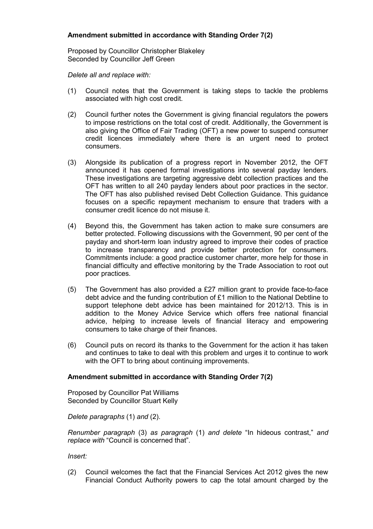# **Amendment submitted in accordance with Standing Order 7(2)**

Proposed by Councillor Christopher Blakeley Seconded by Councillor Jeff Green

*Delete all and replace with:* 

- (1) Council notes that the Government is taking steps to tackle the problems associated with high cost credit.
- (2) Council further notes the Government is giving financial regulators the powers to impose restrictions on the total cost of credit. Additionally, the Government is also giving the Office of Fair Trading (OFT) a new power to suspend consumer credit licences immediately where there is an urgent need to protect consumers.
- (3) Alongside its publication of a progress report in November 2012, the OFT announced it has opened formal investigations into several payday lenders. These investigations are targeting aggressive debt collection practices and the OFT has written to all 240 payday lenders about poor practices in the sector. The OFT has also published revised Debt Collection Guidance. This guidance focuses on a specific repayment mechanism to ensure that traders with a consumer credit licence do not misuse it.
- (4) Beyond this, the Government has taken action to make sure consumers are better protected. Following discussions with the Government, 90 per cent of the payday and short-term loan industry agreed to improve their codes of practice to increase transparency and provide better protection for consumers. Commitments include: a good practice customer charter, more help for those in financial difficulty and effective monitoring by the Trade Association to root out poor practices.
- (5) The Government has also provided a £27 million grant to provide face-to-face debt advice and the funding contribution of £1 million to the National Debtline to support telephone debt advice has been maintained for 2012/13. This is in addition to the Money Advice Service which offers free national financial advice, helping to increase levels of financial literacy and empowering consumers to take charge of their finances.
- (6) Council puts on record its thanks to the Government for the action it has taken and continues to take to deal with this problem and urges it to continue to work with the OFT to bring about continuing improvements.

# **Amendment submitted in accordance with Standing Order 7(2)**

Proposed by Councillor Pat Williams Seconded by Councillor Stuart Kelly

*Delete paragraphs* (1) *and* (2).

*Renumber paragraph* (3) *as paragraph* (1) *and delete* "In hideous contrast," *and replace with* "Council is concerned that".

*Insert:* 

(2) Council welcomes the fact that the Financial Services Act 2012 gives the new Financial Conduct Authority powers to cap the total amount charged by the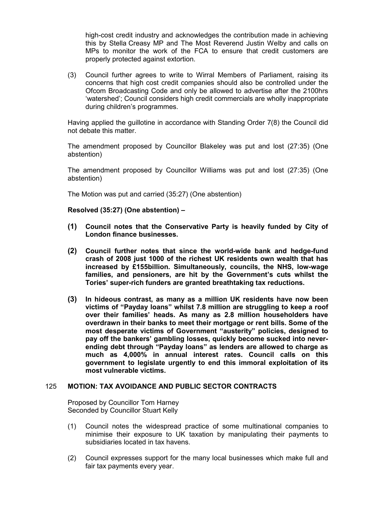high-cost credit industry and acknowledges the contribution made in achieving this by Stella Creasy MP and The Most Reverend Justin Welby and calls on MPs to monitor the work of the FCA to ensure that credit customers are properly protected against extortion.

(3) Council further agrees to write to Wirral Members of Parliament, raising its concerns that high cost credit companies should also be controlled under the Ofcom Broadcasting Code and only be allowed to advertise after the 2100hrs 'watershed'; Council considers high credit commercials are wholly inappropriate during children's programmes.

Having applied the guillotine in accordance with Standing Order 7(8) the Council did not debate this matter.

The amendment proposed by Councillor Blakeley was put and lost (27:35) (One abstention)

The amendment proposed by Councillor Williams was put and lost (27:35) (One abstention)

The Motion was put and carried (35:27) (One abstention)

**Resolved (35:27) (One abstention) –** 

- **(1) Council notes that the Conservative Party is heavily funded by City of London finance businesses.**
- **(2) Council further notes that since the world-wide bank and hedge-fund crash of 2008 just 1000 of the richest UK residents own wealth that has increased by £155billion. Simultaneously, councils, the NHS, low-wage families, and pensioners, are hit by the Government's cuts whilst the Tories' super-rich funders are granted breathtaking tax reductions.**
- **(3) In hideous contrast, as many as a million UK residents have now been victims of "Payday loans" whilst 7.8 million are struggling to keep a roof over their families' heads. As many as 2.8 million householders have overdrawn in their banks to meet their mortgage or rent bills. Some of the most desperate victims of Government "austerity" policies, designed to pay off the bankers' gambling losses, quickly become sucked into neverending debt through "Payday loans" as lenders are allowed to charge as much as 4,000% in annual interest rates. Council calls on this government to legislate urgently to end this immoral exploitation of its most vulnerable victims.**

#### 125 **MOTION: TAX AVOIDANCE AND PUBLIC SECTOR CONTRACTS**

Proposed by Councillor Tom Harney Seconded by Councillor Stuart Kelly

- (1) Council notes the widespread practice of some multinational companies to minimise their exposure to UK taxation by manipulating their payments to subsidiaries located in tax havens.
- (2) Council expresses support for the many local businesses which make full and fair tax payments every year.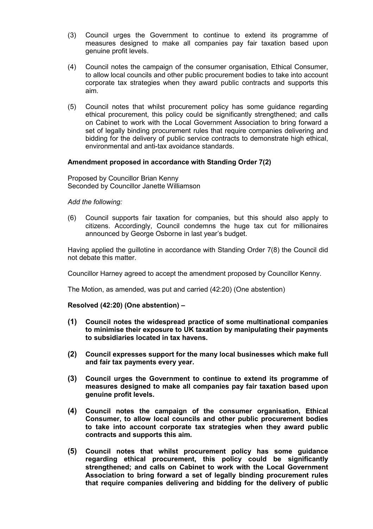- (3) Council urges the Government to continue to extend its programme of measures designed to make all companies pay fair taxation based upon genuine profit levels.
- (4) Council notes the campaign of the consumer organisation, Ethical Consumer, to allow local councils and other public procurement bodies to take into account corporate tax strategies when they award public contracts and supports this aim.
- (5) Council notes that whilst procurement policy has some guidance regarding ethical procurement, this policy could be significantly strengthened; and calls on Cabinet to work with the Local Government Association to bring forward a set of legally binding procurement rules that require companies delivering and bidding for the delivery of public service contracts to demonstrate high ethical, environmental and anti-tax avoidance standards.

## **Amendment proposed in accordance with Standing Order 7(2)**

Proposed by Councillor Brian Kenny Seconded by Councillor Janette Williamson

## *Add the following:*

(6) Council supports fair taxation for companies, but this should also apply to citizens. Accordingly, Council condemns the huge tax cut for millionaires announced by George Osborne in last year's budget.

Having applied the guillotine in accordance with Standing Order 7(8) the Council did not debate this matter.

Councillor Harney agreed to accept the amendment proposed by Councillor Kenny.

The Motion, as amended, was put and carried (42:20) (One abstention)

# **Resolved (42:20) (One abstention) –**

- **(1) Council notes the widespread practice of some multinational companies to minimise their exposure to UK taxation by manipulating their payments to subsidiaries located in tax havens.**
- **(2) Council expresses support for the many local businesses which make full and fair tax payments every year.**
- **(3) Council urges the Government to continue to extend its programme of measures designed to make all companies pay fair taxation based upon genuine profit levels.**
- **(4) Council notes the campaign of the consumer organisation, Ethical Consumer, to allow local councils and other public procurement bodies to take into account corporate tax strategies when they award public contracts and supports this aim.**
- **(5) Council notes that whilst procurement policy has some guidance regarding ethical procurement, this policy could be significantly strengthened; and calls on Cabinet to work with the Local Government Association to bring forward a set of legally binding procurement rules that require companies delivering and bidding for the delivery of public**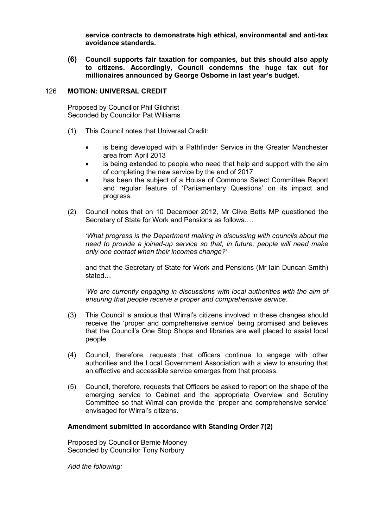**service contracts to demonstrate high ethical, environmental and anti-tax avoidance standards.** 

**(6) Council supports fair taxation for companies, but this should also apply to citizens. Accordingly, Council condemns the huge tax cut for millionaires announced by George Osborne in last year's budget.** 

## 126 **MOTION: UNIVERSAL CREDIT**

Proposed by Councillor Phil Gilchrist Seconded by Councillor Pat Williams

- (1) This Council notes that Universal Credit:
	- is being developed with a Pathfinder Service in the Greater Manchester area from April 2013
	- is being extended to people who need that help and support with the aim of completing the new service by the end of 2017
	- has been the subject of a House of Commons Select Committee Report and regular feature of 'Parliamentary Questions' on its impact and progress.
- (2) Council notes that on 10 December 2012, Mr Clive Betts MP questioned the Secretary of State for Work and Pensions as follows….

*'What progress is the Department making in discussing with councils about the need to provide a joined-up service so that, in future, people will need make only one contact when their incomes change?'* 

and that the Secretary of State for Work and Pensions (Mr Iain Duncan Smith) stated…

'*We are currently engaging in discussions with local authorities with the aim of ensuring that people receive a proper and comprehensive service.'*

- (3) This Council is anxious that Wirral's citizens involved in these changes should receive the 'proper and comprehensive service' being promised and believes that the Council's One Stop Shops and libraries are well placed to assist local people.
- (4) Council, therefore, requests that officers continue to engage with other authorities and the Local Government Association with a view to ensuring that an effective and accessible service emerges from that process.
- (5) Council, therefore, requests that Officers be asked to report on the shape of the emerging service to Cabinet and the appropriate Overview and Scrutiny Committee so that Wirral can provide the 'proper and comprehensive service' envisaged for Wirral's citizens.

# **Amendment submitted in accordance with Standing Order 7(2)**

Proposed by Councillor Bernie Mooney Seconded by Councillor Tony Norbury

*Add the following:*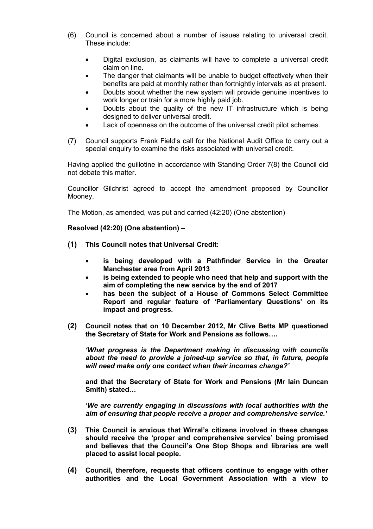- (6) Council is concerned about a number of issues relating to universal credit. These include:
	- Digital exclusion, as claimants will have to complete a universal credit claim on line.
	- The danger that claimants will be unable to budget effectively when their benefits are paid at monthly rather than fortnightly intervals as at present.
	- Doubts about whether the new system will provide genuine incentives to work longer or train for a more highly paid job.
	- Doubts about the quality of the new IT infrastructure which is being designed to deliver universal credit.
	- Lack of openness on the outcome of the universal credit pilot schemes.
- (7) Council supports Frank Field's call for the National Audit Office to carry out a special enquiry to examine the risks associated with universal credit.

Having applied the guillotine in accordance with Standing Order 7(8) the Council did not debate this matter.

Councillor Gilchrist agreed to accept the amendment proposed by Councillor Mooney.

The Motion, as amended, was put and carried (42:20) (One abstention)

**Resolved (42:20) (One abstention) –** 

- **(1) This Council notes that Universal Credit:** 
	- **is being developed with a Pathfinder Service in the Greater Manchester area from April 2013**
	- **is being extended to people who need that help and support with the aim of completing the new service by the end of 2017**
	- **has been the subject of a House of Commons Select Committee Report and regular feature of 'Parliamentary Questions' on its impact and progress.**
- **(2) Council notes that on 10 December 2012, Mr Clive Betts MP questioned the Secretary of State for Work and Pensions as follows….**

*'What progress is the Department making in discussing with councils about the need to provide a joined-up service so that, in future, people will need make only one contact when their incomes change?'* 

**and that the Secretary of State for Work and Pensions (Mr Iain Duncan Smith) stated…**

**'***We are currently engaging in discussions with local authorities with the aim of ensuring that people receive a proper and comprehensive service.'*

- **(3) This Council is anxious that Wirral's citizens involved in these changes should receive the 'proper and comprehensive service' being promised and believes that the Council's One Stop Shops and libraries are well placed to assist local people.**
- **(4) Council, therefore, requests that officers continue to engage with other authorities and the Local Government Association with a view to**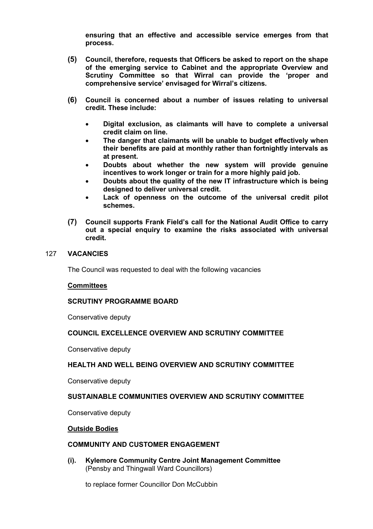**ensuring that an effective and accessible service emerges from that process.** 

- **(5) Council, therefore, requests that Officers be asked to report on the shape of the emerging service to Cabinet and the appropriate Overview and Scrutiny Committee so that Wirral can provide the 'proper and comprehensive service' envisaged for Wirral's citizens.**
- **(6) Council is concerned about a number of issues relating to universal credit. These include:** 
	- **Digital exclusion, as claimants will have to complete a universal credit claim on line.**
	- **The danger that claimants will be unable to budget effectively when their benefits are paid at monthly rather than fortnightly intervals as at present.**
	- **Doubts about whether the new system will provide genuine incentives to work longer or train for a more highly paid job.**
	- **Doubts about the quality of the new IT infrastructure which is being designed to deliver universal credit.**
	- **Lack of openness on the outcome of the universal credit pilot schemes.**
- **(7) Council supports Frank Field's call for the National Audit Office to carry out a special enquiry to examine the risks associated with universal credit.**

#### 127 **VACANCIES**

The Council was requested to deal with the following vacancies

#### **Committees**

#### **SCRUTINY PROGRAMME BOARD**

Conservative deputy

## **COUNCIL EXCELLENCE OVERVIEW AND SCRUTINY COMMITTEE**

Conservative deputy

#### **HEALTH AND WELL BEING OVERVIEW AND SCRUTINY COMMITTEE**

Conservative deputy

## **SUSTAINABLE COMMUNITIES OVERVIEW AND SCRUTINY COMMITTEE**

Conservative deputy

#### **Outside Bodies**

## **COMMUNITY AND CUSTOMER ENGAGEMENT**

**(i). Kylemore Community Centre Joint Management Committee**  (Pensby and Thingwall Ward Councillors)

to replace former Councillor Don McCubbin